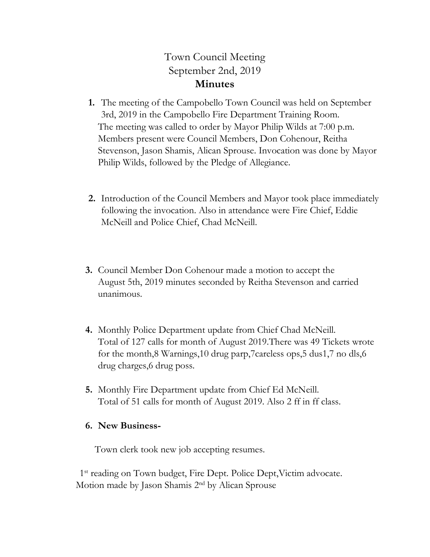## Town Council Meeting September 2nd, 2019 **Minutes**

- **1.** The meeting of the Campobello Town Council was held on September 3rd, 2019 in the Campobello Fire Department Training Room. The meeting was called to order by Mayor Philip Wilds at 7:00 p.m. Members present were Council Members, Don Cohenour, Reitha Stevenson, Jason Shamis, Alican Sprouse. Invocation was done by Mayor Philip Wilds, followed by the Pledge of Allegiance.
- **2.** Introduction of the Council Members and Mayor took place immediately following the invocation. Also in attendance were Fire Chief, Eddie McNeill and Police Chief, Chad McNeill.
- **3.** Council Member Don Cohenour made a motion to accept the August 5th, 2019 minutes seconded by Reitha Stevenson and carried unanimous.
- **4.** Monthly Police Department update from Chief Chad McNeill. Total of 127 calls for month of August 2019.There was 49 Tickets wrote for the month,8 Warnings,10 drug parp,7careless ops,5 dus1,7 no dls,6 drug charges,6 drug poss.
- **5.** Monthly Fire Department update from Chief Ed McNeill. Total of 51 calls for month of August 2019. Also 2 ff in ff class.

## **6. New Business-**

Town clerk took new job accepting resumes.

1<sup>st</sup> reading on Town budget, Fire Dept. Police Dept, Victim advocate. Motion made by Jason Shamis 2nd by Alican Sprouse